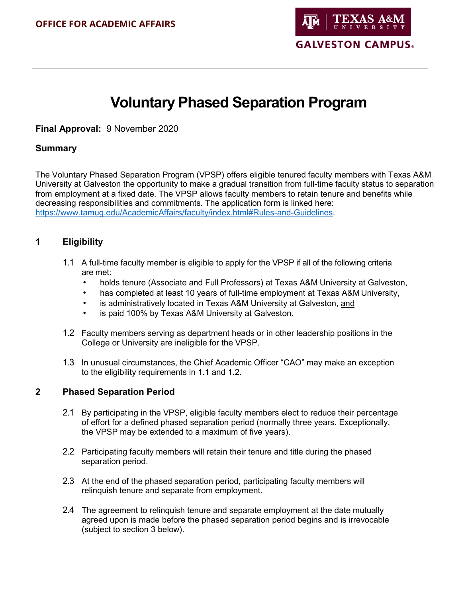

# **Voluntary Phased Separation Program**

**Final Approval:** 9 November 2020

# **Summary**

The Voluntary Phased Separation Program (VPSP) offers eligible tenured faculty members with Texas A&M University at Galveston the opportunity to make a gradual transition from full-time faculty status to separation from employment at a fixed date. The VPSP allows faculty members to retain tenure and benefits while decreasing responsibilities and commitments. The application form is linked here: [https://www.tamug.edu/AcademicAffairs/faculty/index.html#Rules-and-Guidelines.](https://www.tamug.edu/AcademicAffairs/faculty/index.html#Rules-and-Guidelines)

# **1 Eligibility**

- 1.1 A full-time faculty member is eligible to apply for the VPSP if all of the following criteria are met:
	- holds tenure (Associate and Full Professors) at Texas A&M University at Galveston,
	- has completed at least 10 years of full-time employment at Texas A&M University,
	- is administratively located in Texas A&M University at Galveston, and
	- is paid 100% by Texas A&M University at Galveston.
- 1.2 Faculty members serving as department heads or in other leadership positions in the College or University are ineligible for the VPSP.
- 1.3 In unusual circumstances, the Chief Academic Officer "CAO" may make an exception to the eligibility requirements in 1.1 and 1.2.

### **2 Phased Separation Period**

- 2.1 By participating in the VPSP, eligible faculty members elect to reduce their percentage of effort for a defined phased separation period (normally three years. Exceptionally, the VPSP may be extended to a maximum of five years).
- 2.2 Participating faculty members will retain their tenure and title during the phased separation period.
- 2.3 At the end of the phased separation period, participating faculty members will relinquish tenure and separate from employment.
- 2.4 The agreement to relinquish tenure and separate employment at the date mutually agreed upon is made before the phased separation period begins and is irrevocable (subject to section 3 below).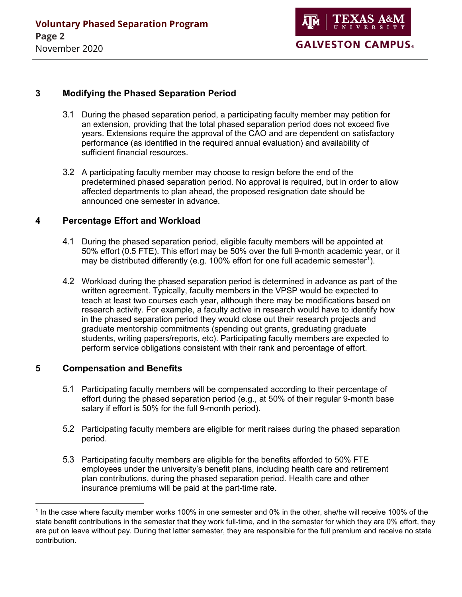# **3 Modifying the Phased Separation Period**

- 3.1 During the phased separation period, a participating faculty member may petition for an extension, providing that the total phased separation period does not exceed five years. Extensions require the approval of the CAO and are dependent on satisfactory performance (as identified in the required annual evaluation) and availability of sufficient financial resources.
- 3.2 A participating faculty member may choose to resign before the end of the predetermined phased separation period. No approval is required, but in order to allow affected departments to plan ahead, the proposed resignation date should be announced one semester in advance.

# **4 Percentage Effort and Workload**

- 4.1 During the phased separation period, eligible faculty members will be appointed at 50% effort (0.5 FTE). This effort may be 50% over the full 9-month academic year, or it may be distributed differently (e.g. [1](#page-1-0)00% effort for one full academic semester<sup>1</sup>).
- 4.2 Workload during the phased separation period is determined in advance as part of the written agreement. Typically, faculty members in the VPSP would be expected to teach at least two courses each year, although there may be modifications based on research activity. For example, a faculty active in research would have to identify how in the phased separation period they would close out their research projects and graduate mentorship commitments (spending out grants, graduating graduate students, writing papers/reports, etc). Participating faculty members are expected to perform service obligations consistent with their rank and percentage of effort.

### **5 Compensation and Benefits**

 $\overline{a}$ 

- 5.1 Participating faculty members will be compensated according to their percentage of effort during the phased separation period (e.g., at 50% of their regular 9-month base salary if effort is 50% for the full 9-month period).
- 5.2 Participating faculty members are eligible for merit raises during the phased separation period.
- 5.3 Participating faculty members are eligible for the benefits afforded to 50% FTE employees under the university's benefit plans, including health care and retirement plan contributions, during the phased separation period. Health care and other insurance premiums will be paid at the part-time rate.

<span id="page-1-0"></span><sup>1</sup> In the case where faculty member works 100% in one semester and 0% in the other, she/he will receive 100% of the state benefit contributions in the semester that they work full-time, and in the semester for which they are 0% effort, they are put on leave without pay. During that latter semester, they are responsible for the full premium and receive no state contribution.